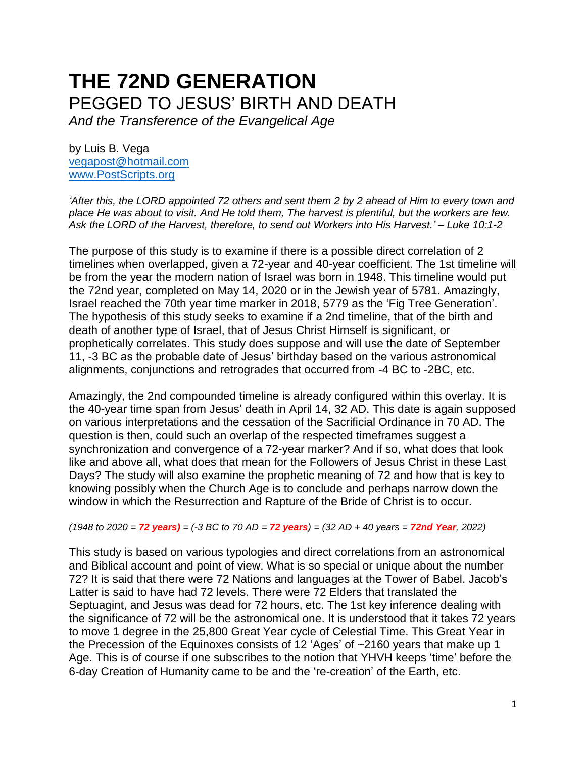# **THE 72ND GENERATION** PEGGED TO JESUS' BIRTH AND DEATH

*And the Transference of the Evangelical Age*

by Luis B. Vega [vegapost@hotmail.com](mailto:vegapost@hotmail.com) [www.PostScripts.org](http://www.postscripts.org/)

*'After this, the LORD appointed 72 others and sent them 2 by 2 ahead of Him to every town and place He was about to visit. And He told them, The harvest is plentiful, but the workers are few. Ask the LORD of the Harvest, therefore, to send out Workers into His Harvest.' – Luke 10:1-2*

The purpose of this study is to examine if there is a possible direct correlation of 2 timelines when overlapped, given a 72-year and 40-year coefficient. The 1st timeline will be from the year the modern nation of Israel was born in 1948. This timeline would put the 72nd year, completed on May 14, 2020 or in the Jewish year of 5781. Amazingly, Israel reached the 70th year time marker in 2018, 5779 as the 'Fig Tree Generation'. The hypothesis of this study seeks to examine if a 2nd timeline, that of the birth and death of another type of Israel, that of Jesus Christ Himself is significant, or prophetically correlates. This study does suppose and will use the date of September 11, -3 BC as the probable date of Jesus' birthday based on the various astronomical alignments, conjunctions and retrogrades that occurred from -4 BC to -2BC, etc.

Amazingly, the 2nd compounded timeline is already configured within this overlay. It is the 40-year time span from Jesus' death in April 14, 32 AD. This date is again supposed on various interpretations and the cessation of the Sacrificial Ordinance in 70 AD. The question is then, could such an overlap of the respected timeframes suggest a synchronization and convergence of a 72-year marker? And if so, what does that look like and above all, what does that mean for the Followers of Jesus Christ in these Last Days? The study will also examine the prophetic meaning of 72 and how that is key to knowing possibly when the Church Age is to conclude and perhaps narrow down the window in which the Resurrection and Rapture of the Bride of Christ is to occur.

*(1948 to 2020 = 72 years) = (-3 BC to 70 AD = 72 years) = (32 AD + 40 years = 72nd Year, 2022)*

This study is based on various typologies and direct correlations from an astronomical and Biblical account and point of view. What is so special or unique about the number 72? It is said that there were 72 Nations and languages at the Tower of Babel. Jacob's Latter is said to have had 72 levels. There were 72 Elders that translated the Septuagint, and Jesus was dead for 72 hours, etc. The 1st key inference dealing with the significance of 72 will be the astronomical one. It is understood that it takes 72 years to move 1 degree in the 25,800 Great Year cycle of Celestial Time. This Great Year in the Precession of the Equinoxes consists of 12 'Ages' of ~2160 years that make up 1 Age. This is of course if one subscribes to the notion that YHVH keeps 'time' before the 6-day Creation of Humanity came to be and the 're-creation' of the Earth, etc.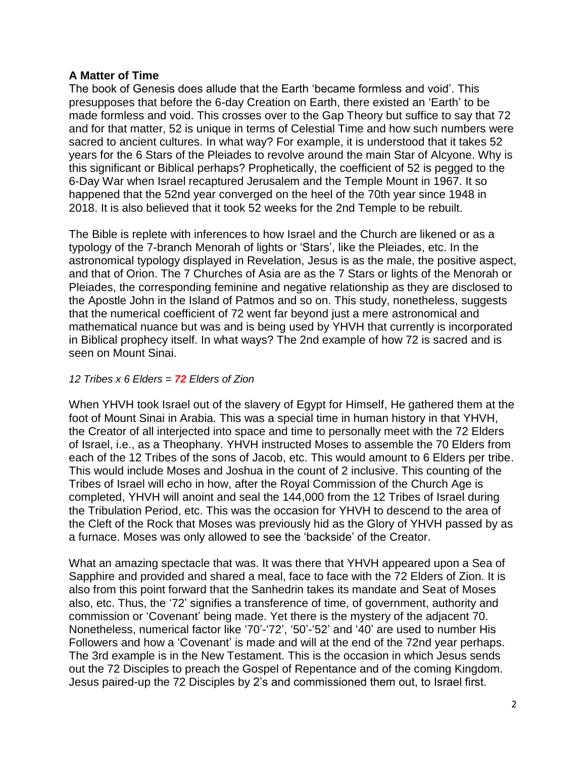# **A Matter of Time**

The book of Genesis does allude that the Earth 'became formless and void'. This presupposes that before the 6-day Creation on Earth, there existed an 'Earth' to be made formless and void. This crosses over to the Gap Theory but suffice to say that 72 and for that matter, 52 is unique in terms of Celestial Time and how such numbers were sacred to ancient cultures. In what way? For example, it is understood that it takes 52 years for the 6 Stars of the Pleiades to revolve around the main Star of Alcyone. Why is this significant or Biblical perhaps? Prophetically, the coefficient of 52 is pegged to the 6-Day War when Israel recaptured Jerusalem and the Temple Mount in 1967. It so happened that the 52nd year converged on the heel of the 70th year since 1948 in 2018. It is also believed that it took 52 weeks for the 2nd Temple to be rebuilt.

The Bible is replete with inferences to how Israel and the Church are likened or as a typology of the 7-branch Menorah of lights or 'Stars', like the Pleiades, etc. In the astronomical typology displayed in Revelation, Jesus is as the male, the positive aspect, and that of Orion. The 7 Churches of Asia are as the 7 Stars or lights of the Menorah or Pleiades, the corresponding feminine and negative relationship as they are disclosed to the Apostle John in the Island of Patmos and so on. This study, nonetheless, suggests that the numerical coefficient of 72 went far beyond just a mere astronomical and mathematical nuance but was and is being used by YHVH that currently is incorporated in Biblical prophecy itself. In what ways? The 2nd example of how 72 is sacred and is seen on Mount Sinai.

# *12 Tribes x 6 Elders = 72 Elders of Zion*

When YHVH took Israel out of the slavery of Egypt for Himself, He gathered them at the foot of Mount Sinai in Arabia. This was a special time in human history in that YHVH, the Creator of all interjected into space and time to personally meet with the 72 Elders of Israel, i.e., as a Theophany. YHVH instructed Moses to assemble the 70 Elders from each of the 12 Tribes of the sons of Jacob, etc. This would amount to 6 Elders per tribe. This would include Moses and Joshua in the count of 2 inclusive. This counting of the Tribes of Israel will echo in how, after the Royal Commission of the Church Age is completed, YHVH will anoint and seal the 144,000 from the 12 Tribes of Israel during the Tribulation Period, etc. This was the occasion for YHVH to descend to the area of the Cleft of the Rock that Moses was previously hid as the Glory of YHVH passed by as a furnace. Moses was only allowed to see the 'backside' of the Creator.

What an amazing spectacle that was. It was there that YHVH appeared upon a Sea of Sapphire and provided and shared a meal, face to face with the 72 Elders of Zion. It is also from this point forward that the Sanhedrin takes its mandate and Seat of Moses also, etc. Thus, the '72' signifies a transference of time, of government, authority and commission or 'Covenant' being made. Yet there is the mystery of the adjacent 70. Nonetheless, numerical factor like '70'-'72', '50'-'52' and '40' are used to number His Followers and how a 'Covenant' is made and will at the end of the 72nd year perhaps. The 3rd example is in the New Testament. This is the occasion in which Jesus sends out the 72 Disciples to preach the Gospel of Repentance and of the coming Kingdom. Jesus paired-up the 72 Disciples by 2's and commissioned them out, to Israel first.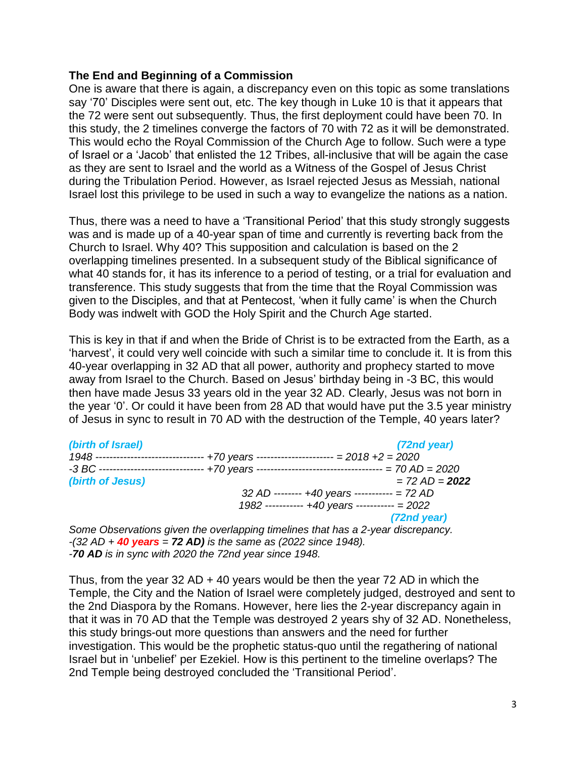### **The End and Beginning of a Commission**

One is aware that there is again, a discrepancy even on this topic as some translations say '70' Disciples were sent out, etc. The key though in Luke 10 is that it appears that the 72 were sent out subsequently. Thus, the first deployment could have been 70. In this study, the 2 timelines converge the factors of 70 with 72 as it will be demonstrated. This would echo the Royal Commission of the Church Age to follow. Such were a type of Israel or a 'Jacob' that enlisted the 12 Tribes, all-inclusive that will be again the case as they are sent to Israel and the world as a Witness of the Gospel of Jesus Christ during the Tribulation Period. However, as Israel rejected Jesus as Messiah, national Israel lost this privilege to be used in such a way to evangelize the nations as a nation.

Thus, there was a need to have a 'Transitional Period' that this study strongly suggests was and is made up of a 40-year span of time and currently is reverting back from the Church to Israel. Why 40? This supposition and calculation is based on the 2 overlapping timelines presented. In a subsequent study of the Biblical significance of what 40 stands for, it has its inference to a period of testing, or a trial for evaluation and transference. This study suggests that from the time that the Royal Commission was given to the Disciples, and that at Pentecost, 'when it fully came' is when the Church Body was indwelt with GOD the Holy Spirit and the Church Age started.

This is key in that if and when the Bride of Christ is to be extracted from the Earth, as a 'harvest', it could very well coincide with such a similar time to conclude it. It is from this 40-year overlapping in 32 AD that all power, authority and prophecy started to move away from Israel to the Church. Based on Jesus' birthday being in -3 BC, this would then have made Jesus 33 years old in the year 32 AD. Clearly, Jesus was not born in the year '0'. Or could it have been from 28 AD that would have put the 3.5 year ministry of Jesus in sync to result in 70 AD with the destruction of the Temple, 40 years later?

| (birth of Israel)                 | $(72nd \, year)$                                                                                     |
|-----------------------------------|------------------------------------------------------------------------------------------------------|
| 1948 ---------------------------- | $+70$ years --------------------- = 2018 +2 = 2020                                                   |
|                                   | $-3 BC$ ------------------------------- +70 years ----------------------------------- = 70 AD = 2020 |
| (birth of Jesus)                  | $= 72 AD = 2022$                                                                                     |
|                                   | 32 AD -------- +40 years ----------- = 72 AD                                                         |
|                                   | 1982 ----------- +40 years ----------- = 2022                                                        |
|                                   | $(72nd \, year)$                                                                                     |

*Some Observations given the overlapping timelines that has a 2-year discrepancy. -(32 AD + 40 years = 72 AD) is the same as (2022 since 1948). -70 AD is in sync with 2020 the 72nd year since 1948.*

Thus, from the year  $32$  AD + 40 years would be then the year  $72$  AD in which the Temple, the City and the Nation of Israel were completely judged, destroyed and sent to the 2nd Diaspora by the Romans. However, here lies the 2-year discrepancy again in that it was in 70 AD that the Temple was destroyed 2 years shy of 32 AD. Nonetheless, this study brings-out more questions than answers and the need for further investigation. This would be the prophetic status-quo until the regathering of national Israel but in 'unbelief' per Ezekiel. How is this pertinent to the timeline overlaps? The 2nd Temple being destroyed concluded the 'Transitional Period'.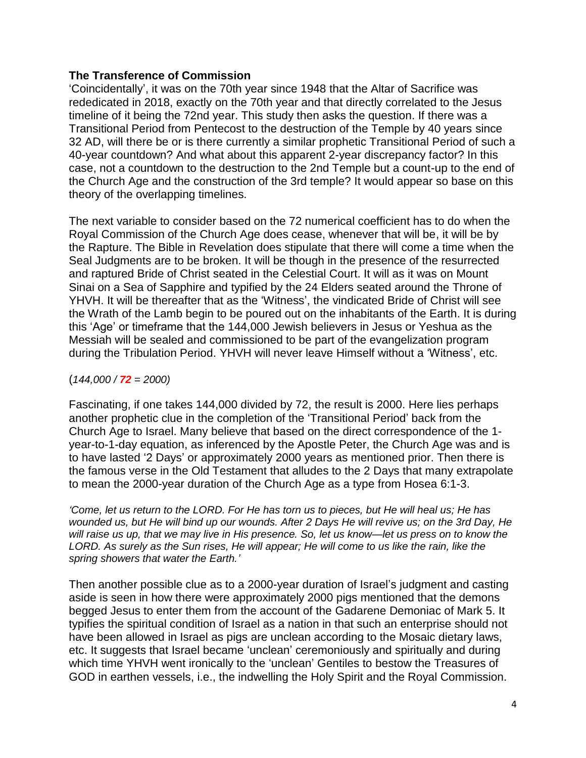## **The Transference of Commission**

'Coincidentally', it was on the 70th year since 1948 that the Altar of Sacrifice was rededicated in 2018, exactly on the 70th year and that directly correlated to the Jesus timeline of it being the 72nd year. This study then asks the question. If there was a Transitional Period from Pentecost to the destruction of the Temple by 40 years since 32 AD, will there be or is there currently a similar prophetic Transitional Period of such a 40-year countdown? And what about this apparent 2-year discrepancy factor? In this case, not a countdown to the destruction to the 2nd Temple but a count-up to the end of the Church Age and the construction of the 3rd temple? It would appear so base on this theory of the overlapping timelines.

The next variable to consider based on the 72 numerical coefficient has to do when the Royal Commission of the Church Age does cease, whenever that will be, it will be by the Rapture. The Bible in Revelation does stipulate that there will come a time when the Seal Judgments are to be broken. It will be though in the presence of the resurrected and raptured Bride of Christ seated in the Celestial Court. It will as it was on Mount Sinai on a Sea of Sapphire and typified by the 24 Elders seated around the Throne of YHVH. It will be thereafter that as the 'Witness', the vindicated Bride of Christ will see the Wrath of the Lamb begin to be poured out on the inhabitants of the Earth. It is during this 'Age' or timeframe that the 144,000 Jewish believers in Jesus or Yeshua as the Messiah will be sealed and commissioned to be part of the evangelization program during the Tribulation Period. YHVH will never leave Himself without a 'Witness', etc.

## $(144,000 / 72 = 2000)$

Fascinating, if one takes 144,000 divided by 72, the result is 2000. Here lies perhaps another prophetic clue in the completion of the 'Transitional Period' back from the Church Age to Israel. Many believe that based on the direct correspondence of the 1 year-to-1-day equation, as inferenced by the Apostle Peter, the Church Age was and is to have lasted '2 Days' or approximately 2000 years as mentioned prior. Then there is the famous verse in the Old Testament that alludes to the 2 Days that many extrapolate to mean the 2000-year duration of the Church Age as a type from Hosea 6:1-3.

*'Come, let us return to the LORD. For He has torn us to pieces, but He will heal us; He has wounded us, but He will bind up our wounds. After 2 Days He will revive us; on the 3rd Day, He will raise us up, that we may live in His presence. So, let us know—let us press on to know the LORD. As surely as the Sun rises, He will appear; He will come to us like the rain, like the spring showers that water the Earth.'*

Then another possible clue as to a 2000-year duration of Israel's judgment and casting aside is seen in how there were approximately 2000 pigs mentioned that the demons begged Jesus to enter them from the account of the Gadarene Demoniac of Mark 5. It typifies the spiritual condition of Israel as a nation in that such an enterprise should not have been allowed in Israel as pigs are unclean according to the Mosaic dietary laws, etc. It suggests that Israel became 'unclean' ceremoniously and spiritually and during which time YHVH went ironically to the 'unclean' Gentiles to bestow the Treasures of GOD in earthen vessels, i.e., the indwelling the Holy Spirit and the Royal Commission.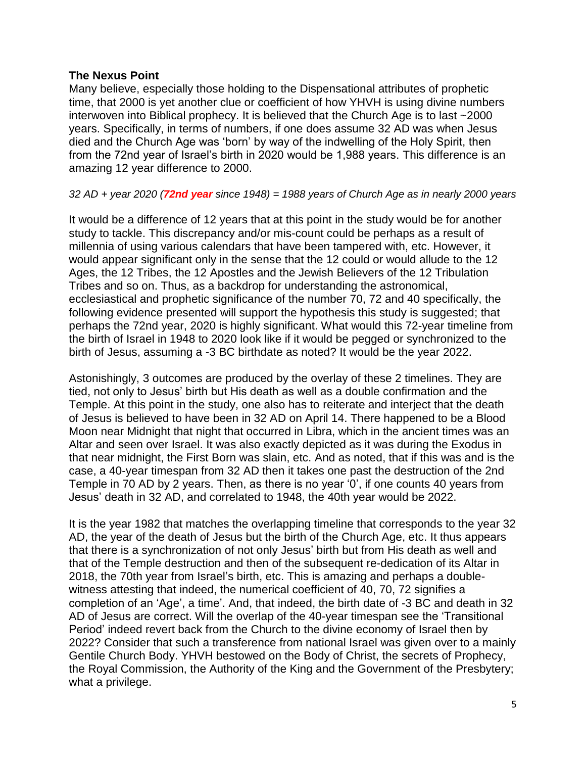#### **The Nexus Point**

Many believe, especially those holding to the Dispensational attributes of prophetic time, that 2000 is yet another clue or coefficient of how YHVH is using divine numbers interwoven into Biblical prophecy. It is believed that the Church Age is to last ~2000 years. Specifically, in terms of numbers, if one does assume 32 AD was when Jesus died and the Church Age was 'born' by way of the indwelling of the Holy Spirit, then from the 72nd year of Israel's birth in 2020 would be 1,988 years. This difference is an amazing 12 year difference to 2000.

#### *32 AD + year 2020 (72nd year since 1948) = 1988 years of Church Age as in nearly 2000 years*

It would be a difference of 12 years that at this point in the study would be for another study to tackle. This discrepancy and/or mis-count could be perhaps as a result of millennia of using various calendars that have been tampered with, etc. However, it would appear significant only in the sense that the 12 could or would allude to the 12 Ages, the 12 Tribes, the 12 Apostles and the Jewish Believers of the 12 Tribulation Tribes and so on. Thus, as a backdrop for understanding the astronomical, ecclesiastical and prophetic significance of the number 70, 72 and 40 specifically, the following evidence presented will support the hypothesis this study is suggested; that perhaps the 72nd year, 2020 is highly significant. What would this 72-year timeline from the birth of Israel in 1948 to 2020 look like if it would be pegged or synchronized to the birth of Jesus, assuming a -3 BC birthdate as noted? It would be the year 2022.

Astonishingly, 3 outcomes are produced by the overlay of these 2 timelines. They are tied, not only to Jesus' birth but His death as well as a double confirmation and the Temple. At this point in the study, one also has to reiterate and interject that the death of Jesus is believed to have been in 32 AD on April 14. There happened to be a Blood Moon near Midnight that night that occurred in Libra, which in the ancient times was an Altar and seen over Israel. It was also exactly depicted as it was during the Exodus in that near midnight, the First Born was slain, etc. And as noted, that if this was and is the case, a 40-year timespan from 32 AD then it takes one past the destruction of the 2nd Temple in 70 AD by 2 years. Then, as there is no year '0', if one counts 40 years from Jesus' death in 32 AD, and correlated to 1948, the 40th year would be 2022.

It is the year 1982 that matches the overlapping timeline that corresponds to the year 32 AD, the year of the death of Jesus but the birth of the Church Age, etc. It thus appears that there is a synchronization of not only Jesus' birth but from His death as well and that of the Temple destruction and then of the subsequent re-dedication of its Altar in 2018, the 70th year from Israel's birth, etc. This is amazing and perhaps a doublewitness attesting that indeed, the numerical coefficient of 40, 70, 72 signifies a completion of an 'Age', a time'. And, that indeed, the birth date of -3 BC and death in 32 AD of Jesus are correct. Will the overlap of the 40-year timespan see the 'Transitional Period' indeed revert back from the Church to the divine economy of Israel then by 2022? Consider that such a transference from national Israel was given over to a mainly Gentile Church Body. YHVH bestowed on the Body of Christ, the secrets of Prophecy, the Royal Commission, the Authority of the King and the Government of the Presbytery; what a privilege.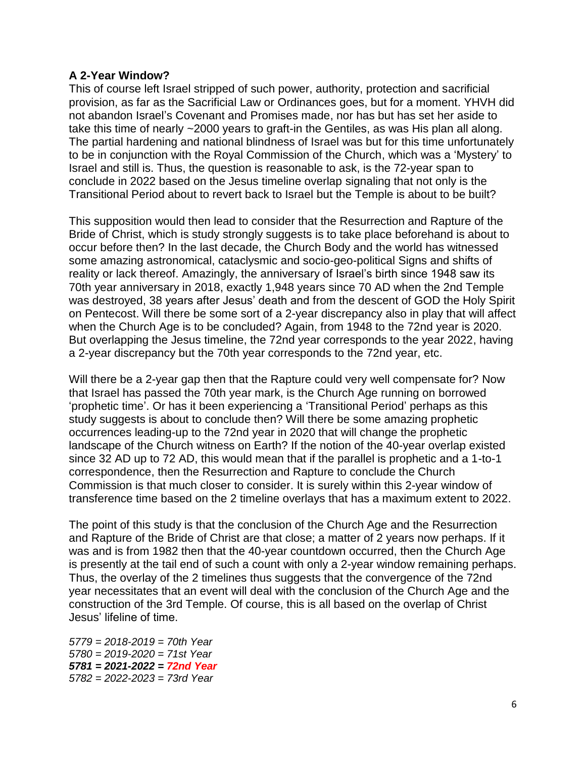### **A 2-Year Window?**

This of course left Israel stripped of such power, authority, protection and sacrificial provision, as far as the Sacrificial Law or Ordinances goes, but for a moment. YHVH did not abandon Israel's Covenant and Promises made, nor has but has set her aside to take this time of nearly ~2000 years to graft-in the Gentiles, as was His plan all along. The partial hardening and national blindness of Israel was but for this time unfortunately to be in conjunction with the Royal Commission of the Church, which was a 'Mystery' to Israel and still is. Thus, the question is reasonable to ask, is the 72-year span to conclude in 2022 based on the Jesus timeline overlap signaling that not only is the Transitional Period about to revert back to Israel but the Temple is about to be built?

This supposition would then lead to consider that the Resurrection and Rapture of the Bride of Christ, which is study strongly suggests is to take place beforehand is about to occur before then? In the last decade, the Church Body and the world has witnessed some amazing astronomical, cataclysmic and socio-geo-political Signs and shifts of reality or lack thereof. Amazingly, the anniversary of Israel's birth since 1948 saw its 70th year anniversary in 2018, exactly 1,948 years since 70 AD when the 2nd Temple was destroyed, 38 years after Jesus' death and from the descent of GOD the Holy Spirit on Pentecost. Will there be some sort of a 2-year discrepancy also in play that will affect when the Church Age is to be concluded? Again, from 1948 to the 72nd year is 2020. But overlapping the Jesus timeline, the 72nd year corresponds to the year 2022, having a 2-year discrepancy but the 70th year corresponds to the 72nd year, etc.

Will there be a 2-year gap then that the Rapture could very well compensate for? Now that Israel has passed the 70th year mark, is the Church Age running on borrowed 'prophetic time'. Or has it been experiencing a 'Transitional Period' perhaps as this study suggests is about to conclude then? Will there be some amazing prophetic occurrences leading-up to the 72nd year in 2020 that will change the prophetic landscape of the Church witness on Earth? If the notion of the 40-year overlap existed since 32 AD up to 72 AD, this would mean that if the parallel is prophetic and a 1-to-1 correspondence, then the Resurrection and Rapture to conclude the Church Commission is that much closer to consider. It is surely within this 2-year window of transference time based on the 2 timeline overlays that has a maximum extent to 2022.

The point of this study is that the conclusion of the Church Age and the Resurrection and Rapture of the Bride of Christ are that close; a matter of 2 years now perhaps. If it was and is from 1982 then that the 40-year countdown occurred, then the Church Age is presently at the tail end of such a count with only a 2-year window remaining perhaps. Thus, the overlay of the 2 timelines thus suggests that the convergence of the 72nd year necessitates that an event will deal with the conclusion of the Church Age and the construction of the 3rd Temple. Of course, this is all based on the overlap of Christ Jesus' lifeline of time.

*5779 = 2018-2019 = 70th Year 5780 = 2019-2020 = 71st Year 5781 = 2021-2022 = 72nd Year 5782 = 2022-2023 = 73rd Year*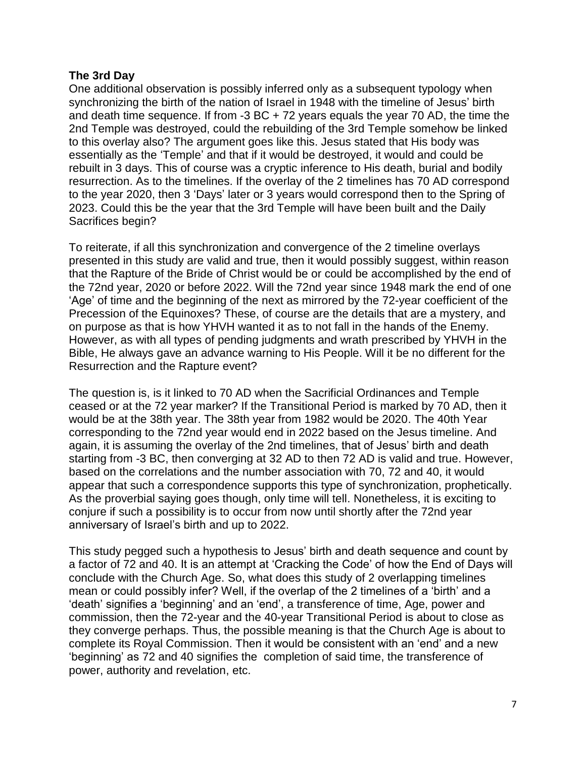## **The 3rd Day**

One additional observation is possibly inferred only as a subsequent typology when synchronizing the birth of the nation of Israel in 1948 with the timeline of Jesus' birth and death time sequence. If from -3 BC + 72 years equals the year 70 AD, the time the 2nd Temple was destroyed, could the rebuilding of the 3rd Temple somehow be linked to this overlay also? The argument goes like this. Jesus stated that His body was essentially as the 'Temple' and that if it would be destroyed, it would and could be rebuilt in 3 days. This of course was a cryptic inference to His death, burial and bodily resurrection. As to the timelines. If the overlay of the 2 timelines has 70 AD correspond to the year 2020, then 3 'Days' later or 3 years would correspond then to the Spring of 2023. Could this be the year that the 3rd Temple will have been built and the Daily Sacrifices begin?

To reiterate, if all this synchronization and convergence of the 2 timeline overlays presented in this study are valid and true, then it would possibly suggest, within reason that the Rapture of the Bride of Christ would be or could be accomplished by the end of the 72nd year, 2020 or before 2022. Will the 72nd year since 1948 mark the end of one 'Age' of time and the beginning of the next as mirrored by the 72-year coefficient of the Precession of the Equinoxes? These, of course are the details that are a mystery, and on purpose as that is how YHVH wanted it as to not fall in the hands of the Enemy. However, as with all types of pending judgments and wrath prescribed by YHVH in the Bible, He always gave an advance warning to His People. Will it be no different for the Resurrection and the Rapture event?

The question is, is it linked to 70 AD when the Sacrificial Ordinances and Temple ceased or at the 72 year marker? If the Transitional Period is marked by 70 AD, then it would be at the 38th year. The 38th year from 1982 would be 2020. The 40th Year corresponding to the 72nd year would end in 2022 based on the Jesus timeline. And again, it is assuming the overlay of the 2nd timelines, that of Jesus' birth and death starting from -3 BC, then converging at 32 AD to then 72 AD is valid and true. However, based on the correlations and the number association with 70, 72 and 40, it would appear that such a correspondence supports this type of synchronization, prophetically. As the proverbial saying goes though, only time will tell. Nonetheless, it is exciting to conjure if such a possibility is to occur from now until shortly after the 72nd year anniversary of Israel's birth and up to 2022.

This study pegged such a hypothesis to Jesus' birth and death sequence and count by a factor of 72 and 40. It is an attempt at 'Cracking the Code' of how the End of Days will conclude with the Church Age. So, what does this study of 2 overlapping timelines mean or could possibly infer? Well, if the overlap of the 2 timelines of a 'birth' and a 'death' signifies a 'beginning' and an 'end', a transference of time, Age, power and commission, then the 72-year and the 40-year Transitional Period is about to close as they converge perhaps. Thus, the possible meaning is that the Church Age is about to complete its Royal Commission. Then it would be consistent with an 'end' and a new 'beginning' as 72 and 40 signifies the completion of said time, the transference of power, authority and revelation, etc.